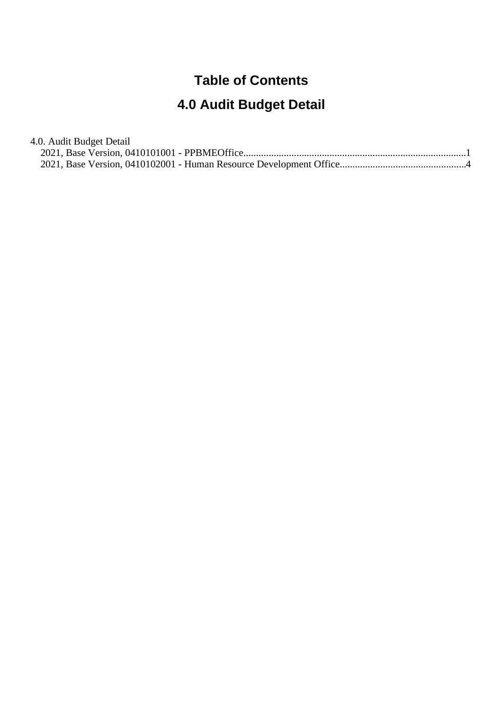### **Table of Contents**

# **4.0 Audit Budget Detail**

| 4.0. Audit Budget Detail |  |
|--------------------------|--|
|                          |  |
|                          |  |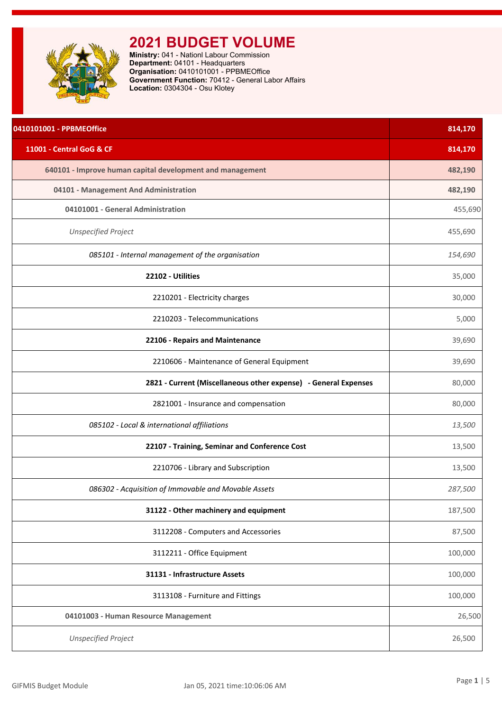<span id="page-1-0"></span>

**Ministry:** 041 - Nationl Labour Commission **Department:** 04101 - Headquarters **Organisation:** 0410101001 - PPBMEOffice **Government Function:** 70412 - General Labor Affairs **Location:** 0304304 - Osu Klotey

| 0410101001 - PPBMEOffice                                        | 814,170 |
|-----------------------------------------------------------------|---------|
| 11001 - Central GoG & CF                                        | 814,170 |
| 640101 - Improve human capital development and management       | 482,190 |
| 04101 - Management And Administration                           | 482,190 |
| 04101001 - General Administration                               | 455,690 |
| <b>Unspecified Project</b>                                      | 455,690 |
| 085101 - Internal management of the organisation                | 154,690 |
| 22102 - Utilities                                               | 35,000  |
| 2210201 - Electricity charges                                   | 30,000  |
| 2210203 - Telecommunications                                    | 5,000   |
| 22106 - Repairs and Maintenance                                 | 39,690  |
| 2210606 - Maintenance of General Equipment                      | 39,690  |
| 2821 - Current (Miscellaneous other expense) - General Expenses | 80,000  |
| 2821001 - Insurance and compensation                            | 80,000  |
| 085102 - Local & international affiliations                     | 13,500  |
| 22107 - Training, Seminar and Conference Cost                   | 13,500  |
| 2210706 - Library and Subscription                              | 13,500  |
| 086302 - Acquisition of Immovable and Movable Assets            | 287,500 |
| 31122 - Other machinery and equipment                           | 187,500 |
| 3112208 - Computers and Accessories                             | 87,500  |
| 3112211 - Office Equipment                                      | 100,000 |
| 31131 - Infrastructure Assets                                   | 100,000 |
| 3113108 - Furniture and Fittings                                | 100,000 |
| 04101003 - Human Resource Management                            | 26,500  |
| <b>Unspecified Project</b>                                      | 26,500  |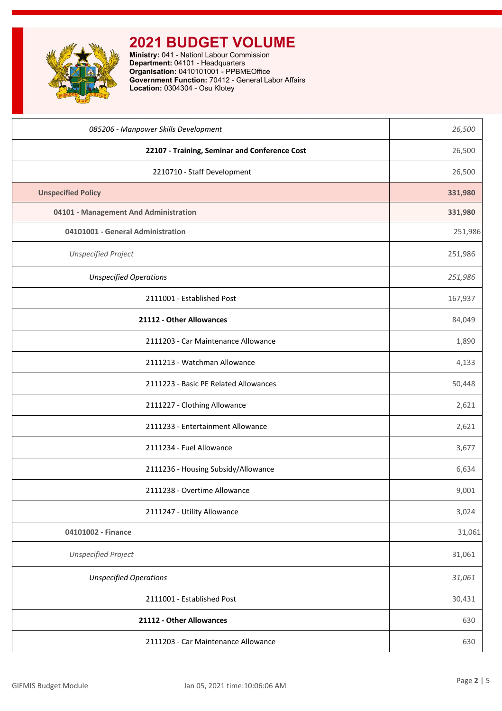

**Ministry:** 041 - Nationl Labour Commission **Department:** 04101 - Headquarters **Organisation:** 0410101001 - PPBMEOffice **Government Function:** 70412 - General Labor Affairs **Location:** 0304304 - Osu Klotey

| 085206 - Manpower Skills Development          | 26,500  |
|-----------------------------------------------|---------|
| 22107 - Training, Seminar and Conference Cost | 26,500  |
| 2210710 - Staff Development                   | 26,500  |
| <b>Unspecified Policy</b>                     | 331,980 |
| 04101 - Management And Administration         | 331,980 |
| 04101001 - General Administration             | 251,986 |
| <b>Unspecified Project</b>                    | 251,986 |
| <b>Unspecified Operations</b>                 | 251,986 |
| 2111001 - Established Post                    | 167,937 |
| 21112 - Other Allowances                      | 84,049  |
| 2111203 - Car Maintenance Allowance           | 1,890   |
| 2111213 - Watchman Allowance                  | 4,133   |
| 2111223 - Basic PE Related Allowances         | 50,448  |
| 2111227 - Clothing Allowance                  | 2,621   |
| 2111233 - Entertainment Allowance             | 2,621   |
| 2111234 - Fuel Allowance                      | 3,677   |
| 2111236 - Housing Subsidy/Allowance           | 6,634   |
| 2111238 - Overtime Allowance                  | 9,001   |
| 2111247 - Utility Allowance                   | 3,024   |
| 04101002 - Finance                            | 31,061  |
| <b>Unspecified Project</b>                    | 31,061  |
| <b>Unspecified Operations</b>                 | 31,061  |
| 2111001 - Established Post                    | 30,431  |
| 21112 - Other Allowances                      | 630     |
| 2111203 - Car Maintenance Allowance           | 630     |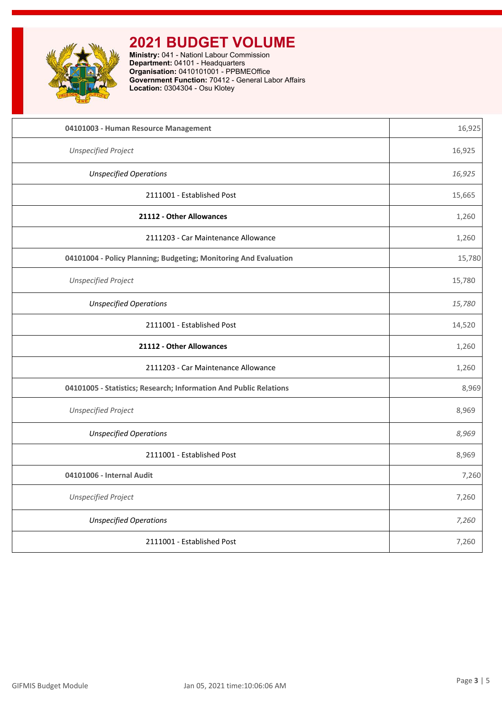

**Ministry:** 041 - Nationl Labour Commission **Department:** 04101 - Headquarters **Organisation:** 0410101001 - PPBMEOffice **Government Function:** 70412 - General Labor Affairs **Location:** 0304304 - Osu Klotey

| 04101003 - Human Resource Management                              | 16,925 |
|-------------------------------------------------------------------|--------|
| <b>Unspecified Project</b>                                        | 16,925 |
| <b>Unspecified Operations</b>                                     | 16,925 |
| 2111001 - Established Post                                        | 15,665 |
| 21112 - Other Allowances                                          | 1,260  |
| 2111203 - Car Maintenance Allowance                               | 1,260  |
| 04101004 - Policy Planning; Budgeting; Monitoring And Evaluation  | 15,780 |
| <b>Unspecified Project</b>                                        | 15,780 |
| <b>Unspecified Operations</b>                                     | 15,780 |
| 2111001 - Established Post                                        | 14,520 |
| 21112 - Other Allowances                                          | 1,260  |
| 2111203 - Car Maintenance Allowance                               | 1,260  |
| 04101005 - Statistics; Research; Information And Public Relations | 8,969  |
| <b>Unspecified Project</b>                                        | 8,969  |
| <b>Unspecified Operations</b>                                     | 8,969  |
| 2111001 - Established Post                                        | 8,969  |
| 04101006 - Internal Audit                                         | 7,260  |
| <b>Unspecified Project</b>                                        | 7,260  |
| <b>Unspecified Operations</b>                                     | 7,260  |
| 2111001 - Established Post                                        | 7,260  |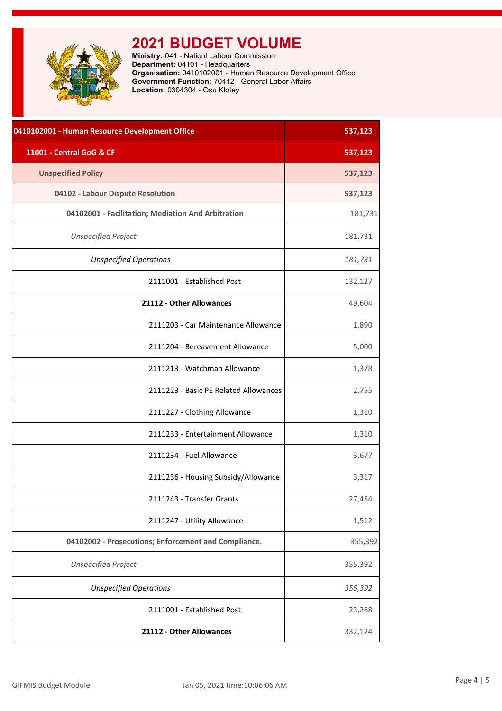<span id="page-4-0"></span>

**Ministry:** 041 - Nationl Labour Commission **Department:** 04101 - Headquarters **Organisation:** 0410102001 - Human Resource Development Office **Government Function:** 70412 - General Labor Affairs **Location:** 0304304 - Osu Klotey

| 0410102001 - Human Resource Development Office       | 537,123 |
|------------------------------------------------------|---------|
| 11001 - Central GoG & CF                             | 537,123 |
| <b>Unspecified Policy</b>                            | 537,123 |
| 04102 - Labour Dispute Resolution                    | 537,123 |
| 04102001 - Facilitation; Mediation And Arbitration   | 181,731 |
| <b>Unspecified Project</b>                           | 181,731 |
| <b>Unspecified Operations</b>                        | 181,731 |
| 2111001 - Established Post                           | 132,127 |
| 21112 - Other Allowances                             | 49,604  |
| 2111203 - Car Maintenance Allowance                  | 1,890   |
| 2111204 - Bereavement Allowance                      | 5,000   |
| 2111213 - Watchman Allowance                         | 1,378   |
| 2111223 - Basic PE Related Allowances                | 2,755   |
| 2111227 - Clothing Allowance                         | 1,310   |
| 2111233 - Entertainment Allowance                    | 1,310   |
| 2111234 - Fuel Allowance                             | 3,677   |
| 2111236 - Housing Subsidy/Allowance                  | 3,317   |
| 2111243 - Transfer Grants                            | 27,454  |
| 2111247 - Utility Allowance                          | 1,512   |
| 04102002 - Prosecutions; Enforcement and Compliance. | 355,392 |
| <b>Unspecified Project</b>                           | 355,392 |
| <b>Unspecified Operations</b>                        | 355,392 |
| 2111001 - Established Post                           | 23,268  |
| 21112 - Other Allowances                             | 332,124 |